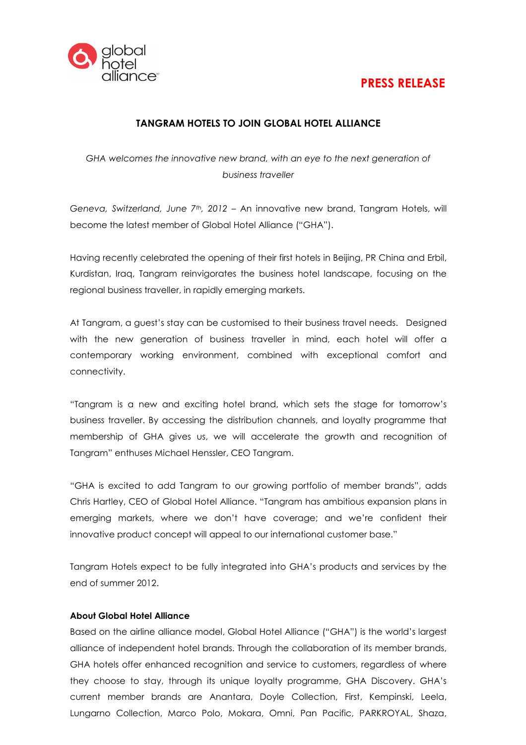

## PRESS RELEASE

## TANGRAM HOTELS TO JOIN GLOBAL HOTEL ALLIANCE

GHA welcomes the innovative new brand, with an eye to the next generation of business traveller

Geneva, Switzerland, June 7<sup>th</sup>, 2012 - An innovative new brand, Tangram Hotels, will become the latest member of Global Hotel Alliance ("GHA").

Having recently celebrated the opening of their first hotels in Beijing, PR China and Erbil, Kurdistan, Iraq, Tangram reinvigorates the business hotel landscape, focusing on the regional business traveller, in rapidly emerging markets.

At Tangram, a guest's stay can be customised to their business travel needs. Designed with the new generation of business traveller in mind, each hotel will offer a contemporary working environment, combined with exceptional comfort and connectivity.

"Tangram is a new and exciting hotel brand, which sets the stage for tomorrow's business traveller. By accessing the distribution channels, and loyalty programme that membership of GHA gives us, we will accelerate the growth and recognition of Tangram" enthuses Michael Henssler, CEO Tangram.

"GHA is excited to add Tangram to our growing portfolio of member brands", adds Chris Hartley, CEO of Global Hotel Alliance. "Tangram has ambitious expansion plans in emerging markets, where we don't have coverage; and we're confident their innovative product concept will appeal to our international customer base."

Tangram Hotels expect to be fully integrated into GHA's products and services by the end of summer 2012.

## About Global Hotel Alliance

Based on the airline alliance model, Global Hotel Alliance ("GHA") is the world's largest alliance of independent hotel brands. Through the collaboration of its member brands, GHA hotels offer enhanced recognition and service to customers, regardless of where they choose to stay, through its unique loyalty programme, GHA Discovery. GHA's current member brands are Anantara, Doyle Collection, First, Kempinski, Leela, Lungarno Collection, Marco Polo, Mokara, Omni, Pan Pacific, PARKROYAL, Shaza,